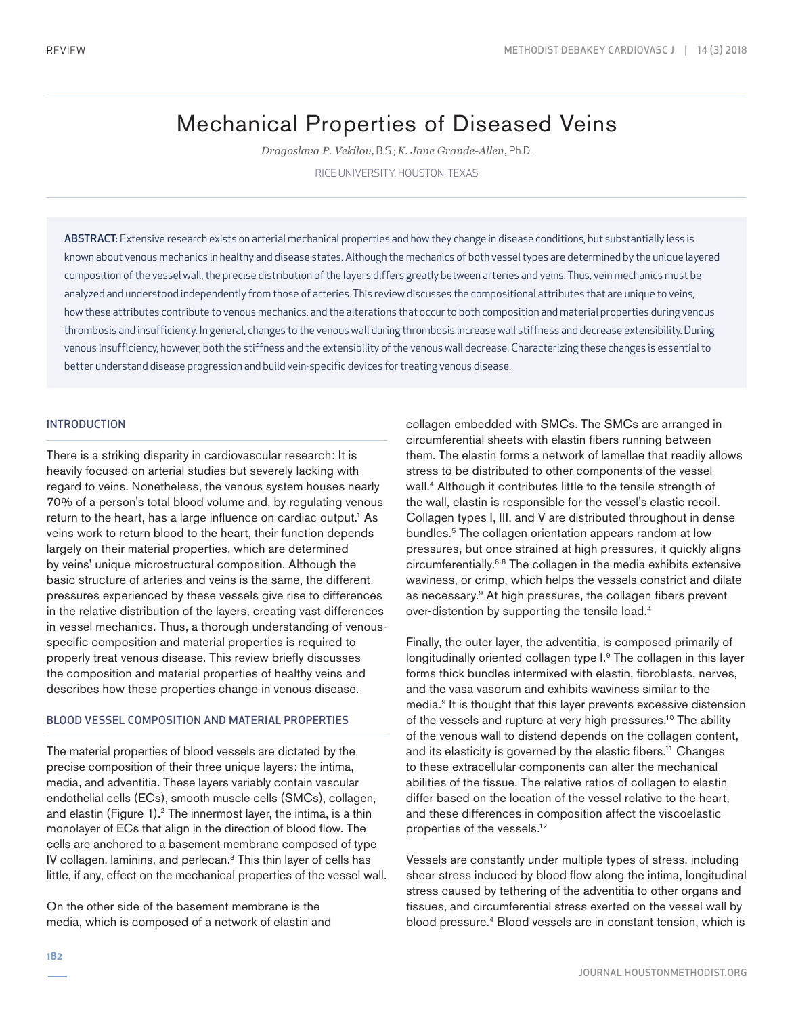# Mechanical Properties of Diseased Veins

*Dragoslava P. Vekilov,* B.S.; *K. Jane Grande-Allen,* Ph.D.

RICE UNIVERSITY, HOUSTON, TEXAS

ABSTRACT: Extensive research exists on arterial mechanical properties and how they change in disease conditions, but substantially less is known about venous mechanics in healthy and disease states. Although the mechanics of both vessel types are determined by the unique layered composition of the vessel wall, the precise distribution of the layers differs greatly between arteries and veins. Thus, vein mechanics must be analyzed and understood independently from those of arteries. This review discusses the compositional attributes that are unique to veins, how these attributes contribute to venous mechanics, and the alterations that occur to both composition and material properties during venous thrombosis and insufficiency. In general, changes to the venous wall during thrombosis increase wall stiffness and decrease extensibility. During venous insufficiency, however, both the stiffness and the extensibility of the venous wall decrease. Characterizing these changes is essential to better understand disease progression and build vein-specific devices for treating venous disease.

# INTRODUCTION

There is a striking disparity in cardiovascular research: It is heavily focused on arterial studies but severely lacking with regard to veins. Nonetheless, the venous system houses nearly 70% of a person's total blood volume and, by regulating venous return to the heart, has a large influence on cardiac output.<sup>1</sup> As veins work to return blood to the heart, their function depends largely on their material properties, which are determined by veins' unique microstructural composition. Although the basic structure of arteries and veins is the same, the different pressures experienced by these vessels give rise to differences in the relative distribution of the layers, creating vast differences in vessel mechanics. Thus, a thorough understanding of venousspecific composition and material properties is required to properly treat venous disease. This review briefly discusses the composition and material properties of healthy veins and describes how these properties change in venous disease.

### BLOOD VESSEL COMPOSITION AND MATERIAL PROPERTIES

The material properties of blood vessels are dictated by the precise composition of their three unique layers: the intima, media, and adventitia. These layers variably contain vascular endothelial cells (ECs), smooth muscle cells (SMCs), collagen, and elastin (Figure 1).<sup>2</sup> The innermost layer, the intima, is a thin monolayer of ECs that align in the direction of blood flow. The cells are anchored to a basement membrane composed of type IV collagen, laminins, and perlecan.3 This thin layer of cells has little, if any, effect on the mechanical properties of the vessel wall.

On the other side of the basement membrane is the media, which is composed of a network of elastin and collagen embedded with SMCs. The SMCs are arranged in circumferential sheets with elastin fibers running between them. The elastin forms a network of lamellae that readily allows stress to be distributed to other components of the vessel wall.4 Although it contributes little to the tensile strength of the wall, elastin is responsible for the vessel's elastic recoil. Collagen types I, III, and V are distributed throughout in dense bundles.5 The collagen orientation appears random at low pressures, but once strained at high pressures, it quickly aligns circumferentially.6-8 The collagen in the media exhibits extensive waviness, or crimp, which helps the vessels constrict and dilate as necessary.9 At high pressures, the collagen fibers prevent over-distention by supporting the tensile load.4

Finally, the outer layer, the adventitia, is composed primarily of longitudinally oriented collagen type I.9 The collagen in this layer forms thick bundles intermixed with elastin, fibroblasts, nerves, and the vasa vasorum and exhibits waviness similar to the media.9 It is thought that this layer prevents excessive distension of the vessels and rupture at very high pressures.<sup>10</sup> The ability of the venous wall to distend depends on the collagen content, and its elasticity is governed by the elastic fibers.11 Changes to these extracellular components can alter the mechanical abilities of the tissue. The relative ratios of collagen to elastin differ based on the location of the vessel relative to the heart, and these differences in composition affect the viscoelastic properties of the vessels.12

Vessels are constantly under multiple types of stress, including shear stress induced by blood flow along the intima, longitudinal stress caused by tethering of the adventitia to other organs and tissues, and circumferential stress exerted on the vessel wall by blood pressure.4 Blood vessels are in constant tension, which is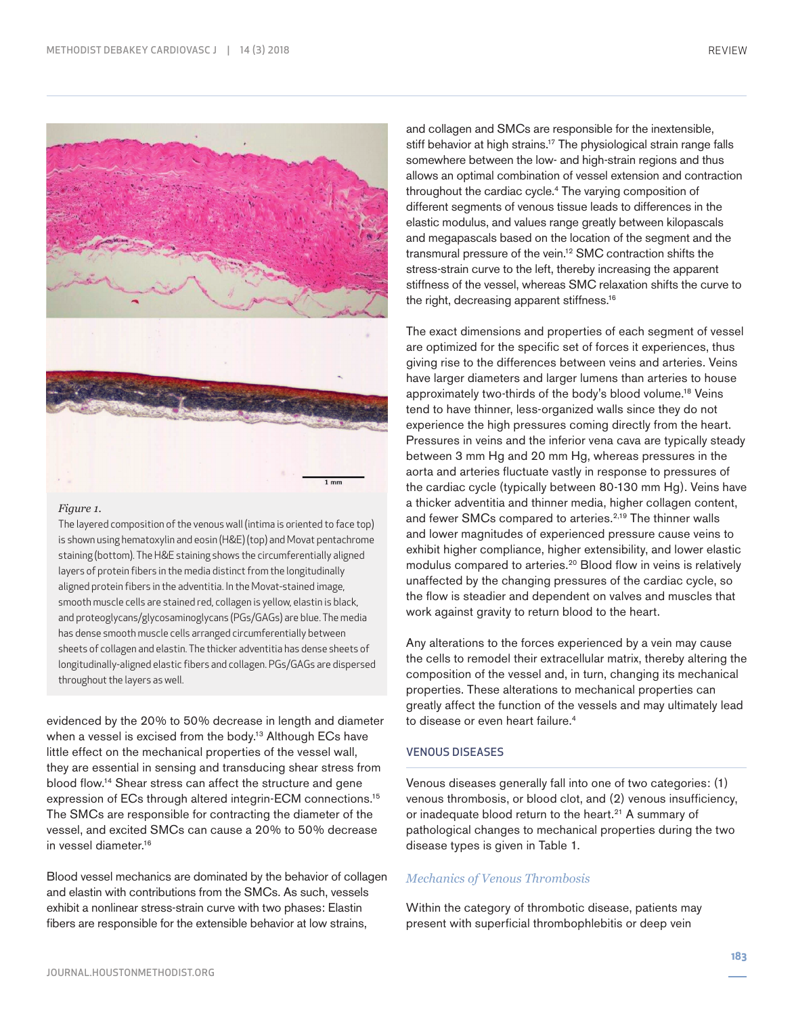

#### *Figure 1.*

The layered composition of the venous wall (intima is oriented to face top) is shown using hematoxylin and eosin (H&E) (top) and Movat pentachrome staining (bottom). The H&E staining shows the circumferentially aligned layers of protein fibers in the media distinct from the longitudinally aligned protein fibers in the adventitia. In the Movat-stained image, smooth muscle cells are stained red, collagen is yellow, elastin is black, and proteoglycans/glycosaminoglycans (PGs/GAGs) are blue. The media has dense smooth muscle cells arranged circumferentially between sheets of collagen and elastin. The thicker adventitia has dense sheets of longitudinally-aligned elastic fibers and collagen. PGs/GAGs are dispersed throughout the layers as well.

evidenced by the 20% to 50% decrease in length and diameter when a vessel is excised from the body.<sup>13</sup> Although ECs have little effect on the mechanical properties of the vessel wall, they are essential in sensing and transducing shear stress from blood flow.14 Shear stress can affect the structure and gene expression of ECs through altered integrin-ECM connections.<sup>15</sup> The SMCs are responsible for contracting the diameter of the vessel, and excited SMCs can cause a 20% to 50% decrease in vessel diameter.16

Blood vessel mechanics are dominated by the behavior of collagen and elastin with contributions from the SMCs. As such, vessels exhibit a nonlinear stress-strain curve with two phases: Elastin fibers are responsible for the extensible behavior at low strains,

and collagen and SMCs are responsible for the inextensible, stiff behavior at high strains.<sup>17</sup> The physiological strain range falls somewhere between the low- and high-strain regions and thus allows an optimal combination of vessel extension and contraction throughout the cardiac cycle.<sup>4</sup> The varying composition of different segments of venous tissue leads to differences in the elastic modulus, and values range greatly between kilopascals and megapascals based on the location of the segment and the transmural pressure of the vein.12 SMC contraction shifts the stress-strain curve to the left, thereby increasing the apparent stiffness of the vessel, whereas SMC relaxation shifts the curve to the right, decreasing apparent stiffness.16

The exact dimensions and properties of each segment of vessel are optimized for the specific set of forces it experiences, thus giving rise to the differences between veins and arteries. Veins have larger diameters and larger lumens than arteries to house approximately two-thirds of the body's blood volume.18 Veins tend to have thinner, less-organized walls since they do not experience the high pressures coming directly from the heart. Pressures in veins and the inferior vena cava are typically steady between 3 mm Hg and 20 mm Hg, whereas pressures in the aorta and arteries fluctuate vastly in response to pressures of the cardiac cycle (typically between 80-130 mm Hg). Veins have a thicker adventitia and thinner media, higher collagen content, and fewer SMCs compared to arteries.<sup>2,19</sup> The thinner walls and lower magnitudes of experienced pressure cause veins to exhibit higher compliance, higher extensibility, and lower elastic modulus compared to arteries.<sup>20</sup> Blood flow in veins is relatively unaffected by the changing pressures of the cardiac cycle, so the flow is steadier and dependent on valves and muscles that work against gravity to return blood to the heart.

Any alterations to the forces experienced by a vein may cause the cells to remodel their extracellular matrix, thereby altering the composition of the vessel and, in turn, changing its mechanical properties. These alterations to mechanical properties can greatly affect the function of the vessels and may ultimately lead to disease or even heart failure.<sup>4</sup>

## VENOUS DISEASES

Venous diseases generally fall into one of two categories: (1) venous thrombosis, or blood clot, and (2) venous insufficiency, or inadequate blood return to the heart.<sup>21</sup> A summary of pathological changes to mechanical properties during the two disease types is given in Table 1.

# *Mechanics of Venous Thrombosis*

Within the category of thrombotic disease, patients may present with superficial thrombophlebitis or deep vein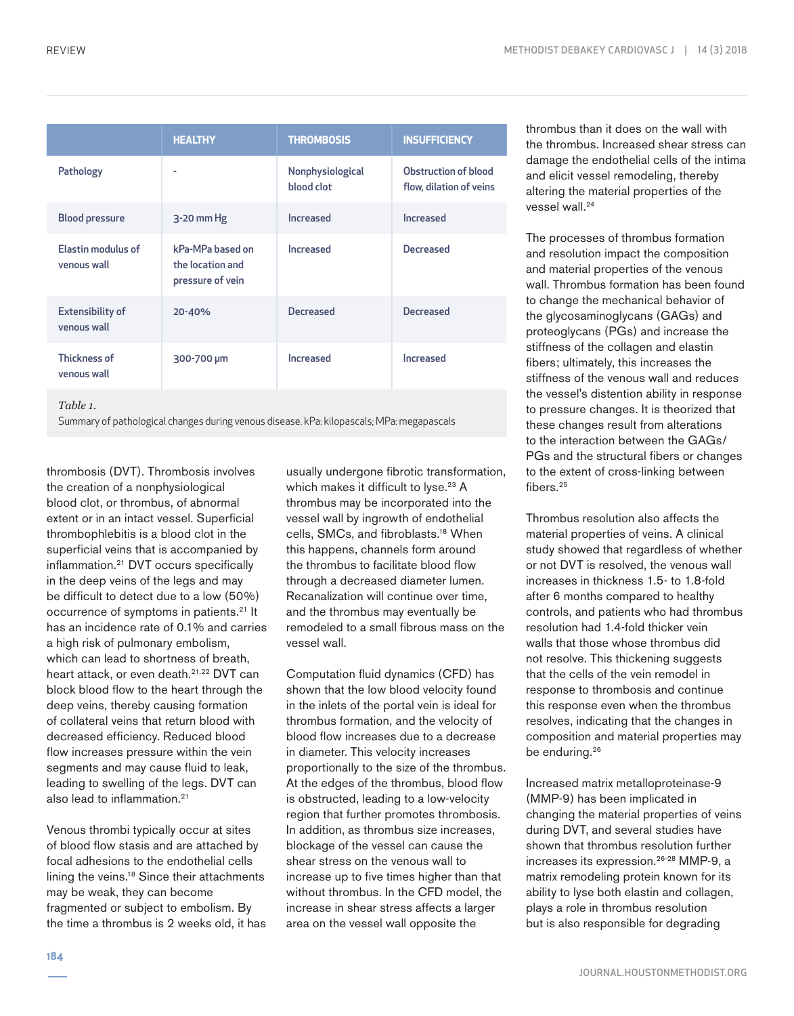|                                        | <b>HEALTHY</b>                                           | <b>THROMBOSIS</b>              | <b>INSUFFICIENCY</b>                            |
|----------------------------------------|----------------------------------------------------------|--------------------------------|-------------------------------------------------|
| Pathology                              | ٠                                                        | Nonphysiological<br>blood clot | Obstruction of blood<br>flow, dilation of veins |
| <b>Blood pressure</b>                  | $3-20$ mm Hg                                             | Increased                      | Increased                                       |
| Elastin modulus of<br>venous wall      | kPa-MPa based on<br>the location and<br>pressure of vein | Increased                      | <b>Decreased</b>                                |
| <b>Extensibility of</b><br>venous wall | 20-40%                                                   | <b>Decreased</b>               | <b>Decreased</b>                                |
| <b>Thickness of</b><br>venous wall     | 300-700 µm                                               | Increased                      | Increased                                       |
| $-11$                                  |                                                          |                                |                                                 |

*Table 1.* 

Summary of pathological changes during venous disease. kPa: kilopascals; MPa: megapascals

thrombosis (DVT). Thrombosis involves the creation of a nonphysiological blood clot, or thrombus, of abnormal extent or in an intact vessel. Superficial thrombophlebitis is a blood clot in the superficial veins that is accompanied by inflammation.21 DVT occurs specifically in the deep veins of the legs and may be difficult to detect due to a low (50%) occurrence of symptoms in patients.<sup>21</sup> It has an incidence rate of 0.1% and carries a high risk of pulmonary embolism, which can lead to shortness of breath, heart attack, or even death.<sup>21,22</sup> DVT can block blood flow to the heart through the deep veins, thereby causing formation of collateral veins that return blood with decreased efficiency. Reduced blood flow increases pressure within the vein segments and may cause fluid to leak, leading to swelling of the legs. DVT can also lead to inflammation.21

Venous thrombi typically occur at sites of blood flow stasis and are attached by focal adhesions to the endothelial cells lining the veins.18 Since their attachments may be weak, they can become fragmented or subject to embolism. By the time a thrombus is 2 weeks old, it has usually undergone fibrotic transformation, which makes it difficult to lyse.<sup>23</sup> A thrombus may be incorporated into the vessel wall by ingrowth of endothelial cells, SMCs, and fibroblasts.18 When this happens, channels form around the thrombus to facilitate blood flow through a decreased diameter lumen. Recanalization will continue over time, and the thrombus may eventually be remodeled to a small fibrous mass on the vessel wall.

Computation fluid dynamics (CFD) has shown that the low blood velocity found in the inlets of the portal vein is ideal for thrombus formation, and the velocity of blood flow increases due to a decrease in diameter. This velocity increases proportionally to the size of the thrombus. At the edges of the thrombus, blood flow is obstructed, leading to a low-velocity region that further promotes thrombosis. In addition, as thrombus size increases, blockage of the vessel can cause the shear stress on the venous wall to increase up to five times higher than that without thrombus. In the CFD model, the increase in shear stress affects a larger area on the vessel wall opposite the

thrombus than it does on the wall with the thrombus. Increased shear stress can damage the endothelial cells of the intima and elicit vessel remodeling, thereby altering the material properties of the vessel wall.<sup>24</sup>

The processes of thrombus formation and resolution impact the composition and material properties of the venous wall. Thrombus formation has been found to change the mechanical behavior of the glycosaminoglycans (GAGs) and proteoglycans (PGs) and increase the stiffness of the collagen and elastin fibers; ultimately, this increases the stiffness of the venous wall and reduces the vessel's distention ability in response to pressure changes. It is theorized that these changes result from alterations to the interaction between the GAGs/ PGs and the structural fibers or changes to the extent of cross-linking between fibers.<sup>25</sup>

Thrombus resolution also affects the material properties of veins. A clinical study showed that regardless of whether or not DVT is resolved, the venous wall increases in thickness 1.5- to 1.8-fold after 6 months compared to healthy controls, and patients who had thrombus resolution had 1.4-fold thicker vein walls that those whose thrombus did not resolve. This thickening suggests that the cells of the vein remodel in response to thrombosis and continue this response even when the thrombus resolves, indicating that the changes in composition and material properties may be enduring.<sup>26</sup>

Increased matrix metalloproteinase-9 (MMP-9) has been implicated in changing the material properties of veins during DVT, and several studies have shown that thrombus resolution further increases its expression.26-28 MMP-9, a matrix remodeling protein known for its ability to lyse both elastin and collagen, plays a role in thrombus resolution but is also responsible for degrading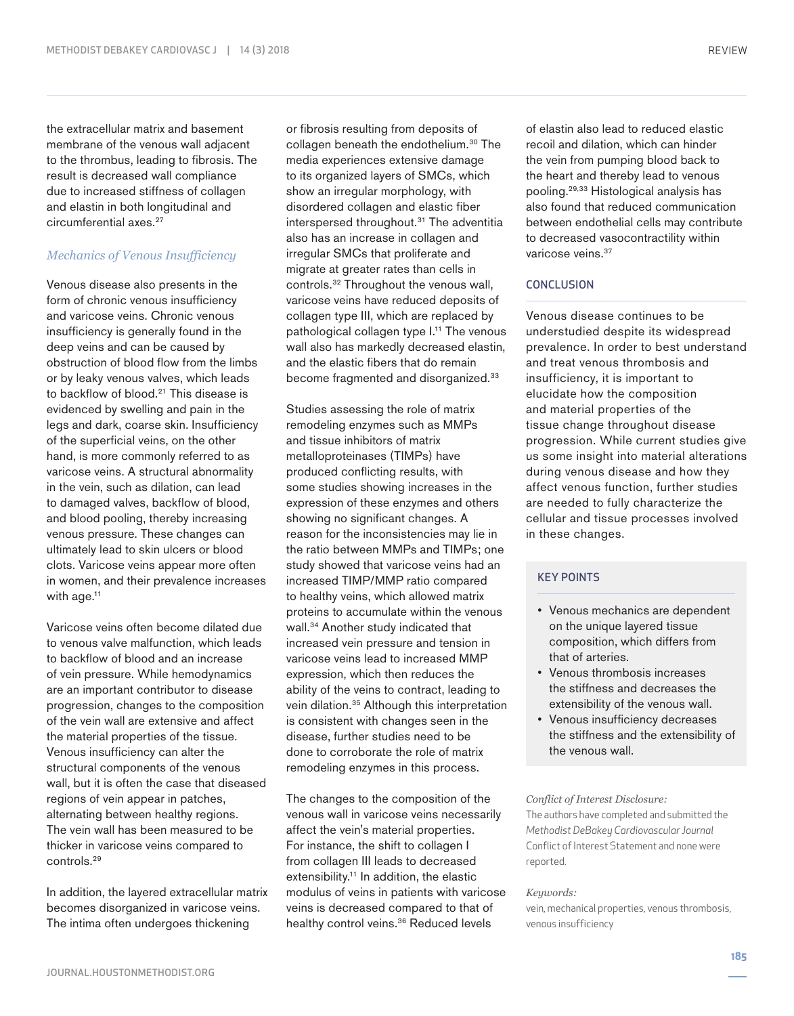the extracellular matrix and basement membrane of the venous wall adjacent to the thrombus, leading to fibrosis. The result is decreased wall compliance due to increased stiffness of collagen and elastin in both longitudinal and circumferential axes.27

## *Mechanics of Venous Insufficiency*

Venous disease also presents in the form of chronic venous insufficiency and varicose veins. Chronic venous insufficiency is generally found in the deep veins and can be caused by obstruction of blood flow from the limbs or by leaky venous valves, which leads to backflow of blood.<sup>21</sup> This disease is evidenced by swelling and pain in the legs and dark, coarse skin. Insufficiency of the superficial veins, on the other hand, is more commonly referred to as varicose veins. A structural abnormality in the vein, such as dilation, can lead to damaged valves, backflow of blood, and blood pooling, thereby increasing venous pressure. These changes can ultimately lead to skin ulcers or blood clots. Varicose veins appear more often in women, and their prevalence increases with age.<sup>11</sup>

Varicose veins often become dilated due to venous valve malfunction, which leads to backflow of blood and an increase of vein pressure. While hemodynamics are an important contributor to disease progression, changes to the composition of the vein wall are extensive and affect the material properties of the tissue. Venous insufficiency can alter the structural components of the venous wall, but it is often the case that diseased regions of vein appear in patches, alternating between healthy regions. The vein wall has been measured to be thicker in varicose veins compared to controls.29

In addition, the layered extracellular matrix becomes disorganized in varicose veins. The intima often undergoes thickening

or fibrosis resulting from deposits of collagen beneath the endothelium.<sup>30</sup> The media experiences extensive damage to its organized layers of SMCs, which show an irregular morphology, with disordered collagen and elastic fiber interspersed throughout.<sup>31</sup> The adventitia also has an increase in collagen and irregular SMCs that proliferate and migrate at greater rates than cells in controls.32 Throughout the venous wall, varicose veins have reduced deposits of collagen type III, which are replaced by pathological collagen type I.<sup>11</sup> The venous wall also has markedly decreased elastin, and the elastic fibers that do remain become fragmented and disorganized.<sup>33</sup>

Studies assessing the role of matrix remodeling enzymes such as MMPs and tissue inhibitors of matrix metalloproteinases (TIMPs) have produced conflicting results, with some studies showing increases in the expression of these enzymes and others showing no significant changes. A reason for the inconsistencies may lie in the ratio between MMPs and TIMPs; one study showed that varicose veins had an increased TIMP/MMP ratio compared to healthy veins, which allowed matrix proteins to accumulate within the venous wall.<sup>34</sup> Another study indicated that increased vein pressure and tension in varicose veins lead to increased MMP expression, which then reduces the ability of the veins to contract, leading to vein dilation.<sup>35</sup> Although this interpretation is consistent with changes seen in the disease, further studies need to be done to corroborate the role of matrix remodeling enzymes in this process.

The changes to the composition of the venous wall in varicose veins necessarily affect the vein's material properties. For instance, the shift to collagen I from collagen III leads to decreased extensibility.<sup>11</sup> In addition, the elastic modulus of veins in patients with varicose veins is decreased compared to that of healthy control veins.<sup>36</sup> Reduced levels

of elastin also lead to reduced elastic recoil and dilation, which can hinder the vein from pumping blood back to the heart and thereby lead to venous pooling.29,33 Histological analysis has also found that reduced communication between endothelial cells may contribute to decreased vasocontractility within varicose veins.<sup>37</sup>

#### **CONCLUSION**

Venous disease continues to be understudied despite its widespread prevalence. In order to best understand and treat venous thrombosis and insufficiency, it is important to elucidate how the composition and material properties of the tissue change throughout disease progression. While current studies give us some insight into material alterations during venous disease and how they affect venous function, further studies are needed to fully characterize the cellular and tissue processes involved in these changes.

# KEY POINTS

- Venous mechanics are dependent on the unique layered tissue composition, which differs from that of arteries.
- Venous thrombosis increases the stiffness and decreases the extensibility of the venous wall.
- Venous insufficiency decreases the stiffness and the extensibility of the venous wall.

#### *Conflict of Interest Disclosure:*

The authors have completed and submitted the *Methodist DeBakey Cardiovascular Journal* Conflict of Interest Statement and none were reported.

#### *Keywords:*

vein, mechanical properties, venous thrombosis, venous insufficiency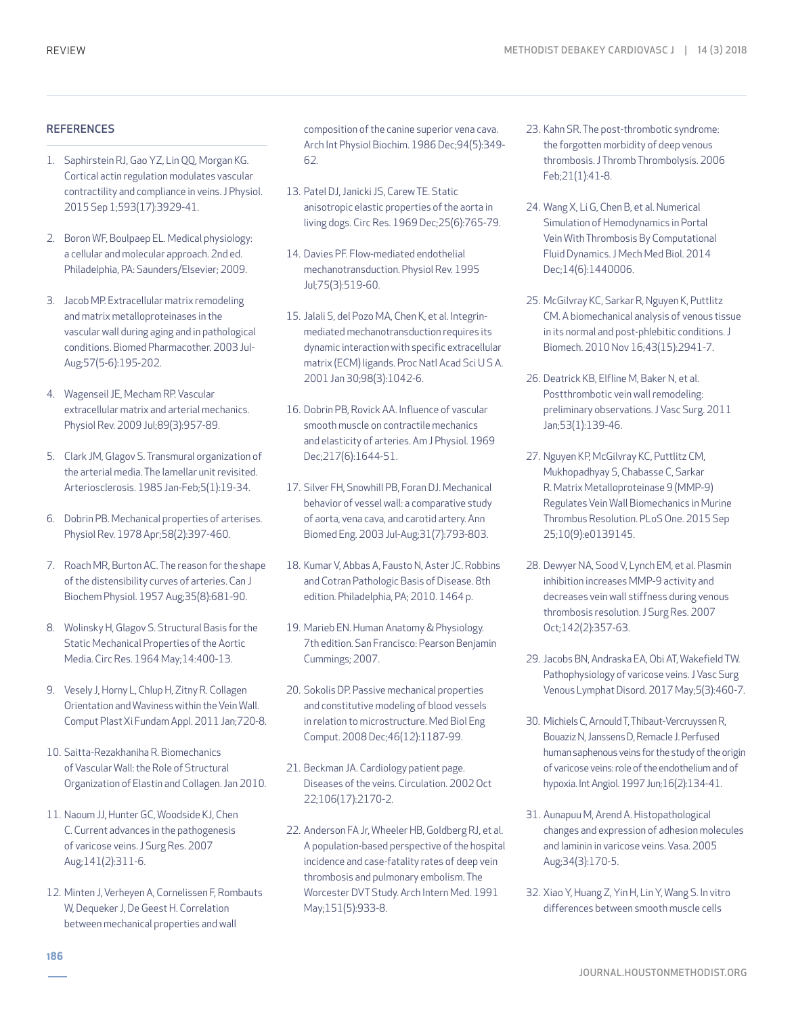#### **REFERENCES**

- 1. Saphirstein RJ, Gao YZ, Lin QQ, Morgan KG. Cortical actin regulation modulates vascular contractility and compliance in veins. J Physiol. 2015 Sep 1;593(17):3929-41.
- 2. Boron WF, Boulpaep EL. Medical physiology: a cellular and molecular approach. 2nd ed. Philadelphia, PA: Saunders/Elsevier; 2009.
- 3. Jacob MP. Extracellular matrix remodeling and matrix metalloproteinases in the vascular wall during aging and in pathological conditions. Biomed Pharmacother. 2003 Jul-Aug;57(5-6):195-202.
- 4. Wagenseil JE, Mecham RP. Vascular extracellular matrix and arterial mechanics. Physiol Rev. 2009 Jul;89(3):957-89.
- 5. Clark JM, Glagov S. Transmural organization of the arterial media. The lamellar unit revisited. Arteriosclerosis. 1985 Jan-Feb;5(1):19-34.
- 6. Dobrin PB. Mechanical properties of arterises. Physiol Rev. 1978 Apr;58(2):397-460.
- 7. Roach MR, Burton AC. The reason for the shape of the distensibility curves of arteries. Can J Biochem Physiol. 1957 Aug;35(8):681-90.
- 8. Wolinsky H, Glagov S. Structural Basis for the Static Mechanical Properties of the Aortic Media. Circ Res. 1964 May;14:400-13.
- 9. Vesely J, Horny L, Chlup H, Zitny R. Collagen Orientation and Waviness within the Vein Wall. Comput Plast Xi Fundam Appl. 2011 Jan;720-8.
- 10. Saitta-Rezakhaniha R. Biomechanics of Vascular Wall: the Role of Structural Organization of Elastin and Collagen. Jan 2010.
- 11. Naoum JJ, Hunter GC, Woodside KJ, Chen C. Current advances in the pathogenesis of varicose veins. J Surg Res. 2007 Aug;141(2):311-6.
- 12. Minten J, Verheyen A, Cornelissen F, Rombauts W, Dequeker J, De Geest H. Correlation between mechanical properties and wall

composition of the canine superior vena cava. Arch Int Physiol Biochim. 1986 Dec;94(5):349- 62.

- 13. Patel DJ, Janicki JS, Carew TE. Static anisotropic elastic properties of the aorta in living dogs. Circ Res. 1969 Dec;25(6):765-79.
- 14. Davies PF. Flow-mediated endothelial mechanotransduction. Physiol Rev. 1995 Jul;75(3):519-60.
- 15. Jalali S, del Pozo MA, Chen K, et al. Integrinmediated mechanotransduction requires its dynamic interaction with specific extracellular matrix (ECM) ligands. Proc Natl Acad Sci U S A. 2001 Jan 30;98(3):1042-6.
- 16. Dobrin PB, Rovick AA. Influence of vascular smooth muscle on contractile mechanics and elasticity of arteries. Am J Physiol. 1969 Dec;217(6):1644-51.
- 17. Silver FH, Snowhill PB, Foran DJ. Mechanical behavior of vessel wall: a comparative study of aorta, vena cava, and carotid artery. Ann Biomed Eng. 2003 Jul-Aug;31(7):793-803.
- 18. Kumar V, Abbas A, Fausto N, Aster JC. Robbins and Cotran Pathologic Basis of Disease. 8th edition. Philadelphia, PA; 2010. 1464 p.
- 19. Marieb EN. Human Anatomy & Physiology. 7th edition. San Francisco: Pearson Benjamin Cummings; 2007.
- 20. Sokolis DP. Passive mechanical properties and constitutive modeling of blood vessels in relation to microstructure. Med Biol Eng Comput. 2008 Dec;46(12):1187-99.
- 21. Beckman JA. Cardiology patient page. Diseases of the veins. Circulation. 2002 Oct 22;106(17):2170-2.
- 22. Anderson FA Jr, Wheeler HB, Goldberg RJ, et al. A population-based perspective of the hospital incidence and case-fatality rates of deep vein thrombosis and pulmonary embolism. The Worcester DVT Study. Arch Intern Med. 1991 May;151(5):933-8.
- 23. Kahn SR. The post-thrombotic syndrome: the forgotten morbidity of deep venous thrombosis. J Thromb Thrombolysis. 2006 Feb;21(1):41-8.
- 24. Wang X, Li G, Chen B, et al. Numerical Simulation of Hemodynamics in Portal Vein With Thrombosis By Computational Fluid Dynamics. J Mech Med Biol. 2014 Dec;14(6):1440006.
- 25. McGilvray KC, Sarkar R, Nguyen K, Puttlitz CM. A biomechanical analysis of venous tissue in its normal and post-phlebitic conditions. J Biomech. 2010 Nov 16;43(15):2941-7.
- 26. Deatrick KB, Elfline M, Baker N, et al. Postthrombotic vein wall remodeling: preliminary observations. J Vasc Surg. 2011 Jan;53(1):139-46.
- 27. Nguyen KP, McGilvray KC, Puttlitz CM, Mukhopadhyay S, Chabasse C, Sarkar R. Matrix Metalloproteinase 9 (MMP-9) Regulates Vein Wall Biomechanics in Murine Thrombus Resolution. PLoS One. 2015 Sep 25;10(9):e0139145.
- 28. Dewyer NA, Sood V, Lynch EM, et al. Plasmin inhibition increases MMP-9 activity and decreases vein wall stiffness during venous thrombosis resolution. J Surg Res. 2007 Oct;142(2):357-63.
- 29. Jacobs BN, Andraska EA, Obi AT, Wakefield TW. Pathophysiology of varicose veins. J Vasc Surg Venous Lymphat Disord. 2017 May;5(3):460-7.
- 30. Michiels C, Arnould T, Thibaut-Vercruyssen R, Bouaziz N, Janssens D, Remacle J. Perfused human saphenous veins for the study of the origin of varicose veins: role of the endothelium and of hypoxia. Int Angiol. 1997 Jun;16(2):134-41.
- 31. Aunapuu M, Arend A. Histopathological changes and expression of adhesion molecules and laminin in varicose veins. Vasa. 2005 Aug;34(3):170-5.
- 32. Xiao Y, Huang Z, Yin H, Lin Y, Wang S. In vitro differences between smooth muscle cells